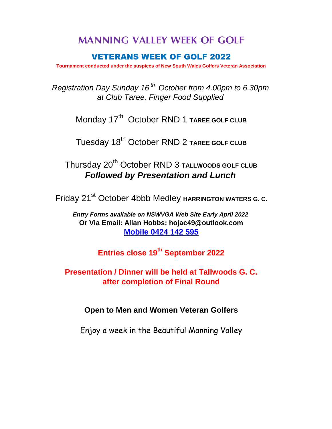## **MANNING VALLEY WEEK OF GOLF**

## VETERANS WEEK OF GOLF 2022

**Tournament conducted under the auspices of New South Wales Golfers Veteran Association**

*Registration Day Sunday 16 th October from 4.00pm to 6.30pm at Club Taree, Finger Food Supplied*

Monday 17<sup>th</sup> October RND 1 TAREE GOLF CLUB

Tuesday 18th October RND 2 **TAREE GOLF CLUB**

Thursday 20<sup>th</sup> October RND 3 TALLWOODS GOLF CLUB *Followed by Presentation and Lunch*

Friday 21<sup>st</sup> October 4bbb Medley **HARRINGTON WATERS G. C.** 

**Or Via Email: Allan Hobbs: hojac49@outlook.com Mobile 0424 142 595** *Entry Forms available on NSWVGA Web Site Early April 2022*

**Entries close 19th September 2022**

**Presentation / Dinner will be held at Tallwoods G. C. after completion of Final Round**

**Open to Men and Women Veteran Golfers**

Enjoy a week in the Beautiful Manning Valley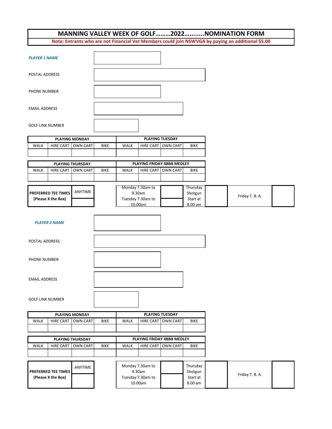## **Note: Entrants who are not Financial Vet Members could join NSWVGA by paying an additional \$5.00 MANNING VALLEY WEEK OF GOLF………2022…........NOMINATION FORM**

| <b>PLAYER 1 NAME</b>                                                          |                                           |                       |                                                               |                        |                  |                                            |                     |                 |  |  |
|-------------------------------------------------------------------------------|-------------------------------------------|-----------------------|---------------------------------------------------------------|------------------------|------------------|--------------------------------------------|---------------------|-----------------|--|--|
| POSTAL ADDRESS                                                                |                                           |                       |                                                               |                        |                  |                                            |                     |                 |  |  |
| PHONE NUMBER                                                                  |                                           |                       |                                                               |                        |                  |                                            |                     |                 |  |  |
| <b>EMAIL ADDRESS</b>                                                          |                                           |                       |                                                               |                        |                  |                                            |                     |                 |  |  |
| <b>GOLF LINK NUMBER</b>                                                       |                                           |                       |                                                               |                        |                  |                                            |                     |                 |  |  |
|                                                                               |                                           | <b>PLAYING MONDAY</b> |                                                               |                        |                  | <b>PLAYING TUESDAY</b>                     |                     |                 |  |  |
| <b>WALK</b>                                                                   | <b>HIRE CART</b>                          | <b>OWN CART</b>       | <b>BIKE</b>                                                   | <b>WALK</b>            | <b>HIRE CART</b> | OWN CART                                   | <b>BIKE</b>         |                 |  |  |
|                                                                               |                                           |                       |                                                               |                        |                  |                                            |                     |                 |  |  |
|                                                                               |                                           |                       |                                                               |                        |                  |                                            |                     |                 |  |  |
| <b>PLAYING THURSDAY</b>                                                       |                                           |                       | PLAYING FRIDAY 4BBB MEDLEY<br><b>HIRE CART</b><br><b>BIKE</b> |                        |                  | <b>OWN CART</b>                            | <b>BIKE</b>         |                 |  |  |
| WALK                                                                          | <b>HIRE CART</b>                          | <b>OWN CART</b>       |                                                               | WALK                   |                  |                                            |                     |                 |  |  |
|                                                                               |                                           |                       |                                                               |                        |                  |                                            |                     |                 |  |  |
|                                                                               |                                           | ANYTIME               |                                                               |                        | Monday 7.30am to |                                            | Thursday            |                 |  |  |
|                                                                               | PREFERRED TEE TIMES<br>(Please X the Box) |                       | 9.30am<br>Tuesday 7.30am to                                   |                        |                  |                                            | Shotgun<br>Start at | Friday T. B. A. |  |  |
|                                                                               |                                           |                       |                                                               |                        | 10.00am          |                                            | 8.00 am             |                 |  |  |
| <b>PLAYER 2 NAME</b>                                                          |                                           |                       |                                                               |                        |                  |                                            |                     |                 |  |  |
| POSTAL ADDRESS                                                                |                                           |                       |                                                               |                        |                  |                                            |                     |                 |  |  |
| PHONE NUMBER                                                                  |                                           |                       |                                                               |                        |                  |                                            |                     |                 |  |  |
| <b>EMAIL ADDRESS</b>                                                          |                                           |                       |                                                               |                        |                  |                                            |                     |                 |  |  |
| <b>GOLF LINK NUMBER</b>                                                       |                                           |                       |                                                               |                        |                  |                                            |                     |                 |  |  |
| <b>PLAYING MONDAY</b>                                                         |                                           |                       |                                                               | <b>PLAYING TUESDAY</b> |                  |                                            |                     |                 |  |  |
| <b>WALK</b>                                                                   | <b>HIRE CART</b>                          | <b>OWN CART</b>       | <b>BIKE</b>                                                   | <b>WALK</b>            | <b>HIRE CART</b> | <b>OWN CART</b>                            | <b>BIKE</b>         |                 |  |  |
|                                                                               |                                           |                       |                                                               |                        |                  |                                            |                     |                 |  |  |
|                                                                               |                                           |                       |                                                               |                        |                  | PLAYING FRIDAY 4BBB MEDLEY                 |                     |                 |  |  |
| <b>PLAYING THURSDAY</b><br><b>HIRE CART</b><br><b>OWN CART</b><br><b>WALK</b> |                                           |                       | HIRE CART<br><b>BIKE</b><br><b>WALK</b>                       |                        |                  | OWN CART                                   | <b>BIKE</b>         |                 |  |  |
|                                                                               |                                           |                       |                                                               |                        |                  |                                            |                     |                 |  |  |
|                                                                               |                                           |                       |                                                               |                        |                  |                                            |                     |                 |  |  |
| ANYTIME<br>PREFERRED TEE TIMES<br>(Please X the Box)                          |                                           |                       | Monday 7.30am to<br>9.30am<br>Tuesday 7.30am to<br>10.00am    |                        |                  | Thursday<br>Shotgun<br>Start at<br>8.00 am |                     | Friday T. B. A. |  |  |